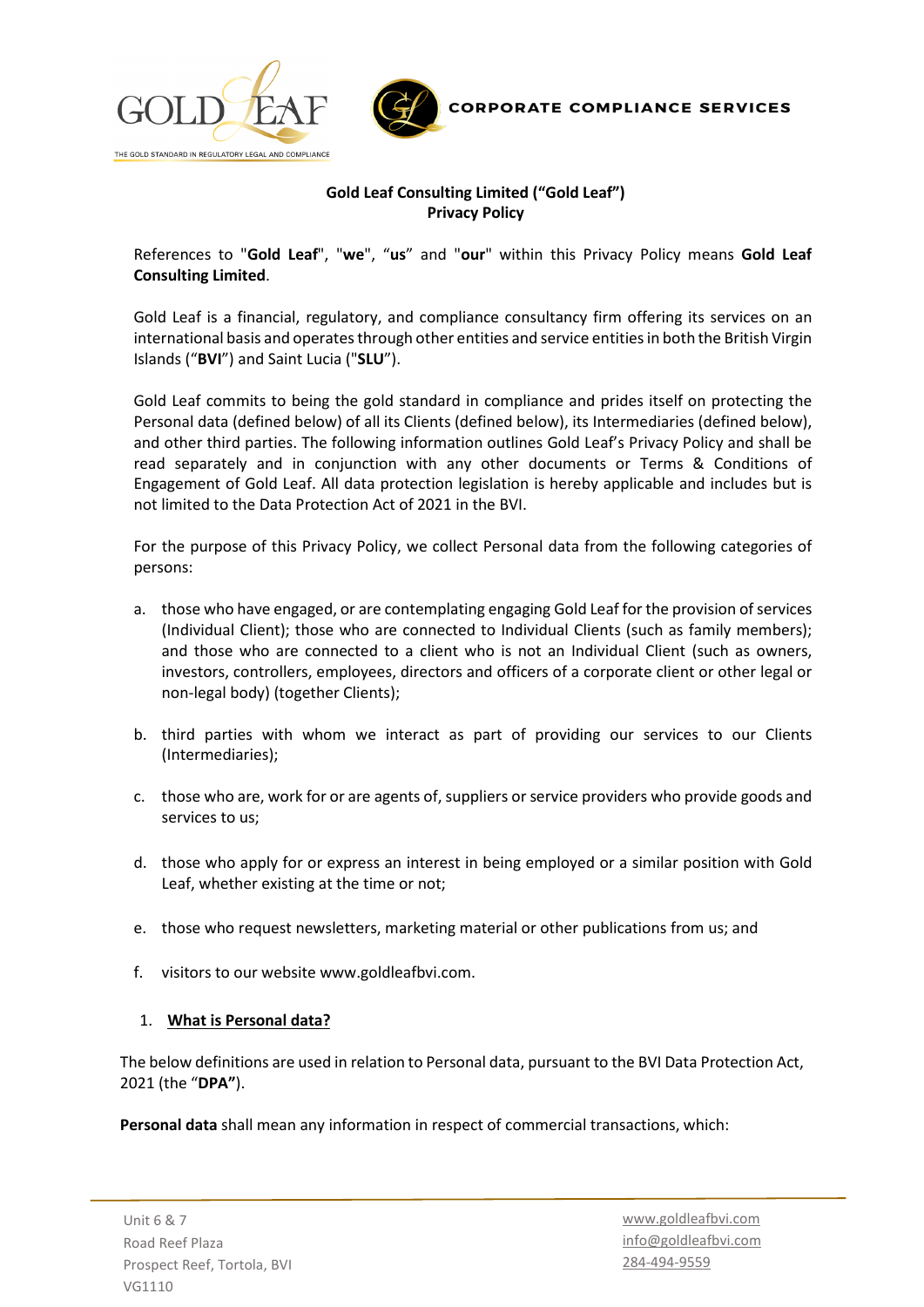



# **Gold Leaf Consulting Limited ("Gold Leaf") Privacy Policy**

References to "**Gold Leaf**", "**we**", "**us**" and "**our**" within this Privacy Policy means **Gold Leaf Consulting Limited**.

Gold Leaf is a financial, regulatory, and compliance consultancy firm offering its services on an international basis and operates through other entities and service entities in both the British Virgin Islands ("**BVI**") and Saint Lucia ("**SLU**").

Gold Leaf commits to being the gold standard in compliance and prides itself on protecting the Personal data (defined below) of all its Clients (defined below), its Intermediaries (defined below), and other third parties. The following information outlines Gold Leaf's Privacy Policy and shall be read separately and in conjunction with any other documents or Terms & Conditions of Engagement of Gold Leaf. All data protection legislation is hereby applicable and includes but is not limited to the Data Protection Act of 2021 in the BVI.

For the purpose of this Privacy Policy, we collect Personal data from the following categories of persons:

- a. those who have engaged, or are contemplating engaging Gold Leaf for the provision of services (Individual Client); those who are connected to Individual Clients (such as family members); and those who are connected to a client who is not an Individual Client (such as owners, investors, controllers, employees, directors and officers of a corporate client or other legal or non-legal body) (together Clients);
- b. third parties with whom we interact as part of providing our services to our Clients (Intermediaries);
- c. those who are, work for or are agents of, suppliers or service providers who provide goods and services to us;
- d. those who apply for or express an interest in being employed or a similar position with Gold Leaf, whether existing at the time or not;
- e. those who request newsletters, marketing material or other publications from us; and
- f. visitors to our website www.goldleafbvi.com.

### 1. **What is Personal data?**

The below definitions are used in relation to Personal data, pursuant to the BVI Data Protection Act, 2021 (the "**DPA"**).

**Personal data** shall mean any information in respect of commercial transactions, which: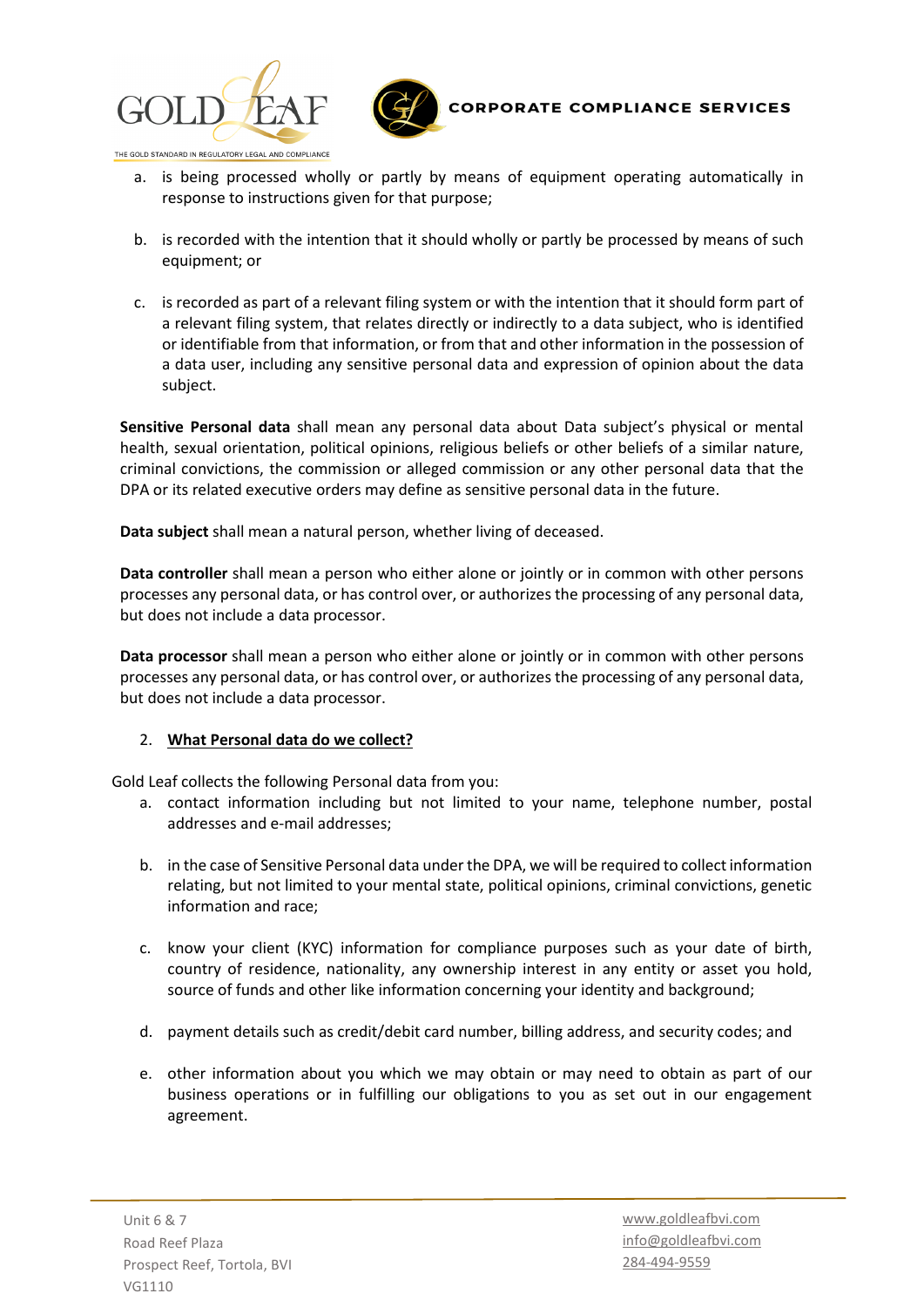



- a. is being processed wholly or partly by means of equipment operating automatically in response to instructions given for that purpose;
- b. is recorded with the intention that it should wholly or partly be processed by means of such equipment; or
- c. is recorded as part of a relevant filing system or with the intention that it should form part of a relevant filing system, that relates directly or indirectly to a data subject, who is identified or identifiable from that information, or from that and other information in the possession of a data user, including any sensitive personal data and expression of opinion about the data subject.

**Sensitive Personal data** shall mean any personal data about Data subject's physical or mental health, sexual orientation, political opinions, religious beliefs or other beliefs of a similar nature, criminal convictions, the commission or alleged commission or any other personal data that the DPA or its related executive orders may define as sensitive personal data in the future.

**Data subject** shall mean a natural person, whether living of deceased.

**Data controller** shall mean a person who either alone or jointly or in common with other persons processes any personal data, or has control over, or authorizes the processing of any personal data, but does not include a data processor.

**Data processor** shall mean a person who either alone or jointly or in common with other persons processes any personal data, or has control over, or authorizes the processing of any personal data, but does not include a data processor.

### 2. **What Personal data do we collect?**

Gold Leaf collects the following Personal data from you:

- a. contact information including but not limited to your name, telephone number, postal addresses and e-mail addresses;
- b. in the case of Sensitive Personal data under the DPA, we will be required to collect information relating, but not limited to your mental state, political opinions, criminal convictions, genetic information and race;
- c. know your client (KYC) information for compliance purposes such as your date of birth, country of residence, nationality, any ownership interest in any entity or asset you hold, source of funds and other like information concerning your identity and background;
- d. payment details such as credit/debit card number, billing address, and security codes; and
- e. other information about you which we may obtain or may need to obtain as part of our business operations or in fulfilling our obligations to you as set out in our engagement agreement.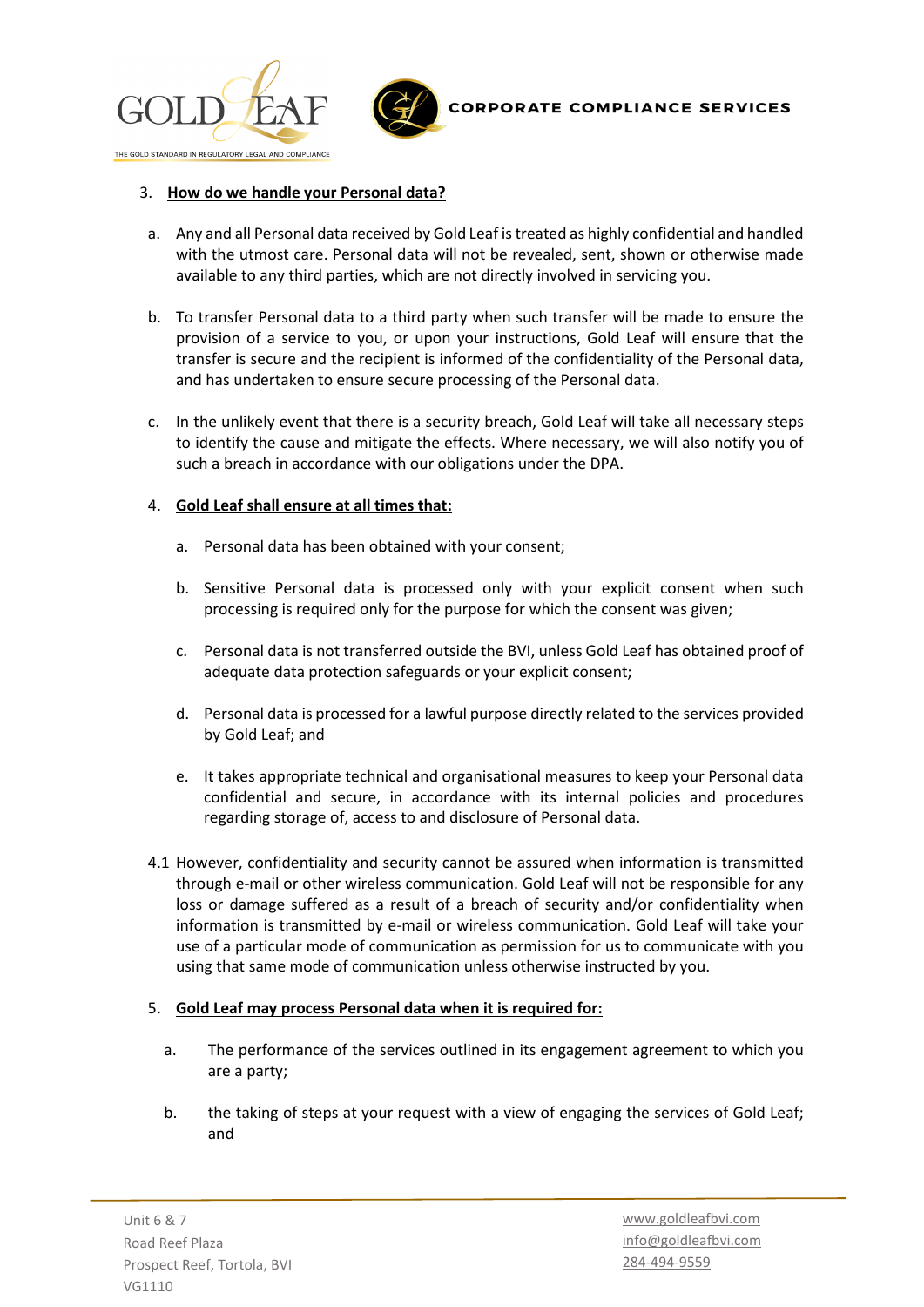



### 3. **How do we handle your Personal data?**

- a. Any and all Personal data received by Gold Leaf is treated as highly confidential and handled with the utmost care. Personal data will not be revealed, sent, shown or otherwise made available to any third parties, which are not directly involved in servicing you.
- b. To transfer Personal data to a third party when such transfer will be made to ensure the provision of a service to you, or upon your instructions, Gold Leaf will ensure that the transfer is secure and the recipient is informed of the confidentiality of the Personal data, and has undertaken to ensure secure processing of the Personal data.
- c. In the unlikely event that there is a security breach, Gold Leaf will take all necessary steps to identify the cause and mitigate the effects. Where necessary, we will also notify you of such a breach in accordance with our obligations under the DPA.

### 4. **Gold Leaf shall ensure at all times that:**

- a. Personal data has been obtained with your consent;
- b. Sensitive Personal data is processed only with your explicit consent when such processing is required only for the purpose for which the consent was given;
- c. Personal data is not transferred outside the BVI, unless Gold Leaf has obtained proof of adequate data protection safeguards or your explicit consent;
- d. Personal data is processed for a lawful purpose directly related to the services provided by Gold Leaf; and
- e. It takes appropriate technical and organisational measures to keep your Personal data confidential and secure, in accordance with its internal policies and procedures regarding storage of, access to and disclosure of Personal data.
- 4.1 However, confidentiality and security cannot be assured when information is transmitted through e-mail or other wireless communication. Gold Leaf will not be responsible for any loss or damage suffered as a result of a breach of security and/or confidentiality when information is transmitted by e-mail or wireless communication. Gold Leaf will take your use of a particular mode of communication as permission for us to communicate with you using that same mode of communication unless otherwise instructed by you.

## 5. **Gold Leaf may process Personal data when it is required for:**

- a. The performance of the services outlined in its engagement agreement to which you are a party;
- b. the taking of steps at your request with a view of engaging the services of Gold Leaf; and

Unit 6 & 7 Road Reef Plaza Prospect Reef, Tortola, BVI VG1110

[www.goldleafbvi.com](http://www.goldleafbvi.com/) [info@goldleafbvi.com](mailto:info@goldleafbvi.com) 284-494-9559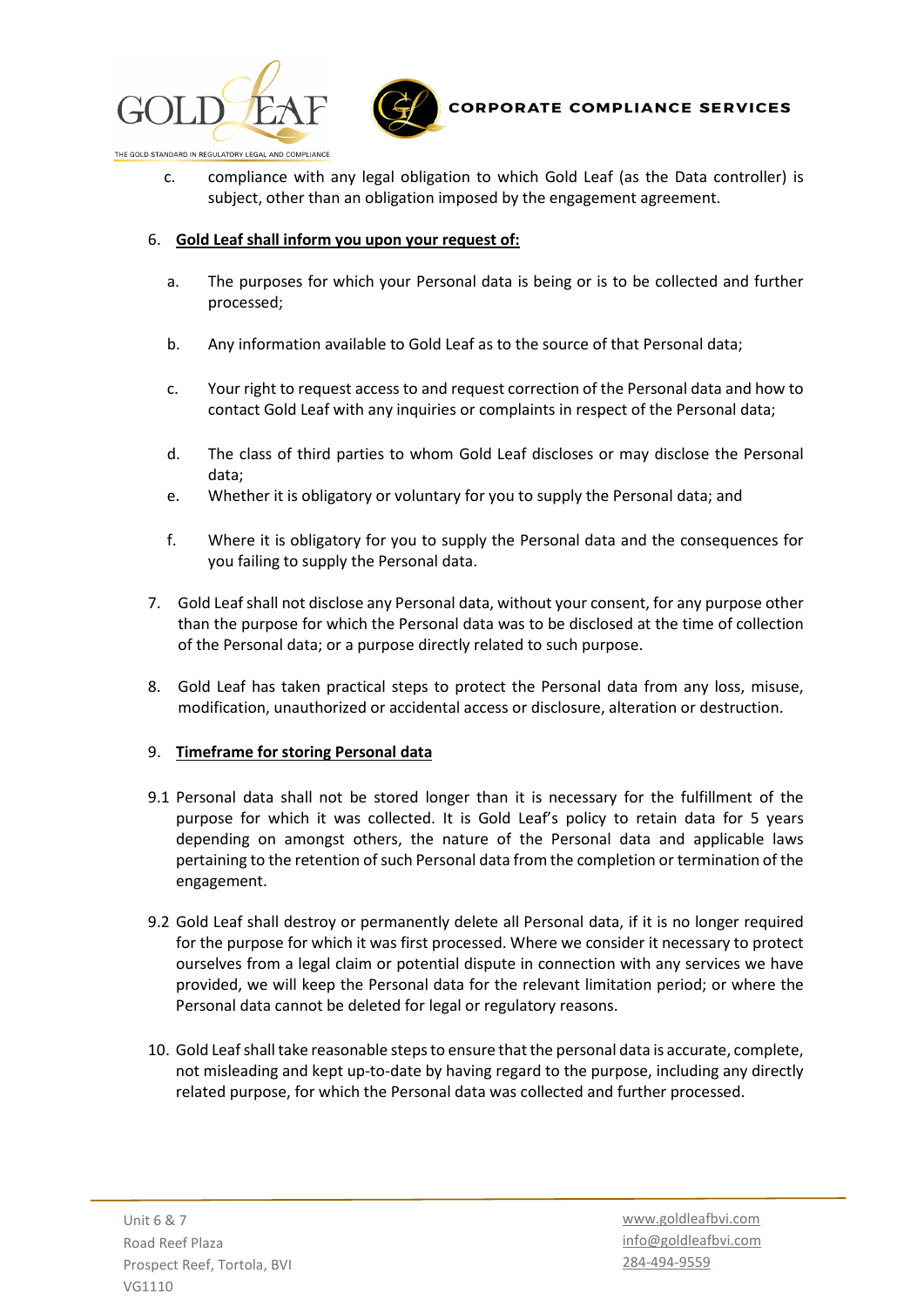



c. compliance with any legal obligation to which Gold Leaf (as the Data controller) is subject, other than an obligation imposed by the engagement agreement.

### 6. **Gold Leaf shall inform you upon your request of:**

- a. The purposes for which your Personal data is being or is to be collected and further processed;
- b. Any information available to Gold Leaf as to the source of that Personal data;
- c. Your right to request access to and request correction of the Personal data and how to contact Gold Leaf with any inquiries or complaints in respect of the Personal data;
- d. The class of third parties to whom Gold Leaf discloses or may disclose the Personal data;
- e. Whether it is obligatory or voluntary for you to supply the Personal data; and
- f. Where it is obligatory for you to supply the Personal data and the consequences for you failing to supply the Personal data.
- 7. Gold Leaf shall not disclose any Personal data, without your consent, for any purpose other than the purpose for which the Personal data was to be disclosed at the time of collection of the Personal data; or a purpose directly related to such purpose.
- 8. Gold Leaf has taken practical steps to protect the Personal data from any loss, misuse, modification, unauthorized or accidental access or disclosure, alteration or destruction.

### 9. **Timeframe for storing Personal data**

- 9.1 Personal data shall not be stored longer than it is necessary for the fulfillment of the purpose for which it was collected. It is Gold Leaf's policy to retain data for 5 years depending on amongst others, the nature of the Personal data and applicable laws pertaining to the retention of such Personal data from the completion or termination of the engagement.
- 9.2 Gold Leaf shall destroy or permanently delete all Personal data, if it is no longer required for the purpose for which it was first processed. Where we consider it necessary to protect ourselves from a legal claim or potential dispute in connection with any services we have provided, we will keep the Personal data for the relevant limitation period; or where the Personal data cannot be deleted for legal or regulatory reasons.
- 10. Gold Leaf shall take reasonable steps to ensure that the personal data is accurate, complete, not misleading and kept up-to-date by having regard to the purpose, including any directly related purpose, for which the Personal data was collected and further processed.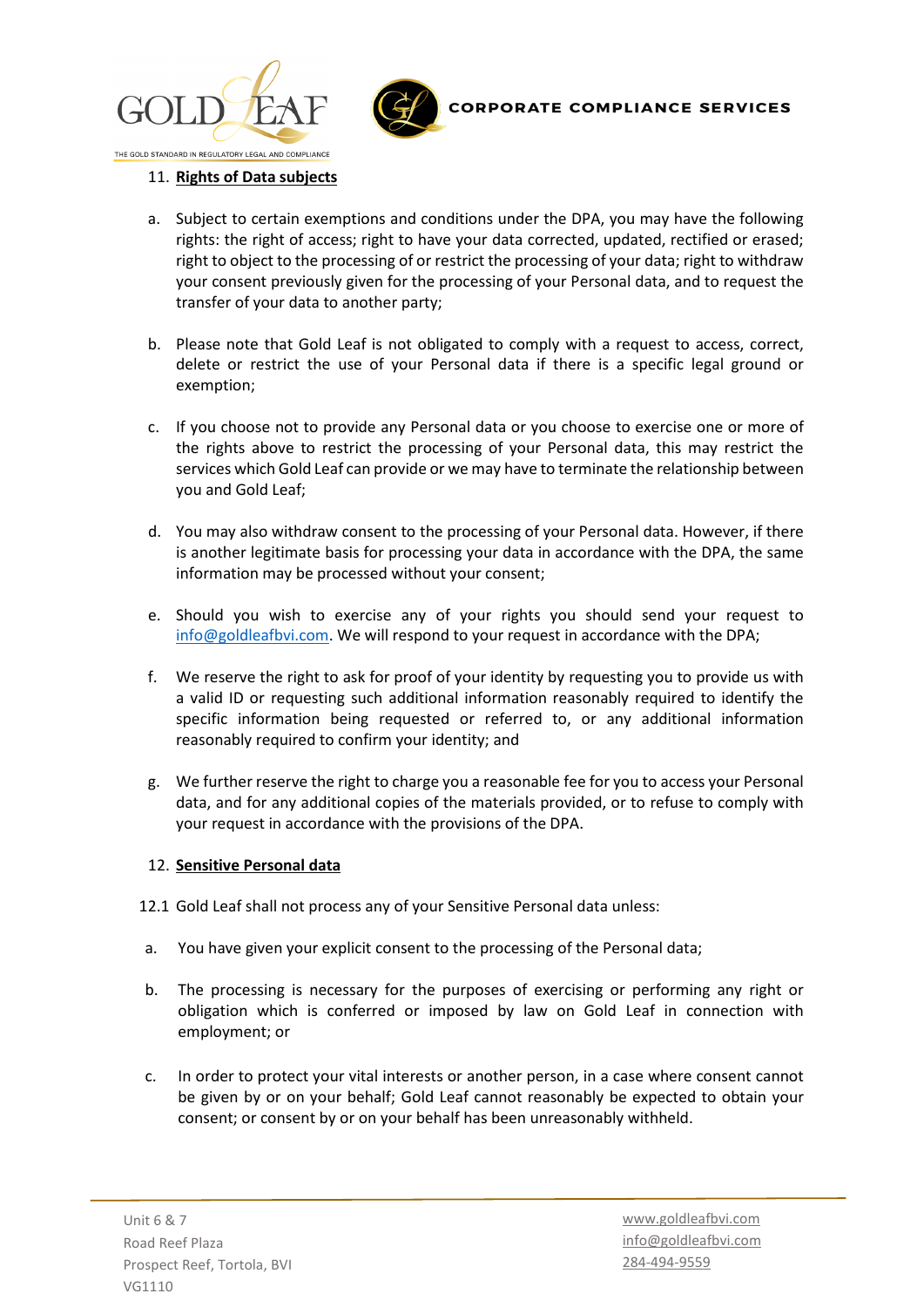



### 11. **Rights of Data subjects**

- a. Subject to certain exemptions and conditions under the DPA, you may have the following rights: the right of access; right to have your data corrected, updated, rectified or erased; right to object to the processing of or restrict the processing of your data; right to withdraw your consent previously given for the processing of your Personal data, and to request the transfer of your data to another party;
- b. Please note that Gold Leaf is not obligated to comply with a request to access, correct, delete or restrict the use of your Personal data if there is a specific legal ground or exemption;
- c. If you choose not to provide any Personal data or you choose to exercise one or more of the rights above to restrict the processing of your Personal data, this may restrict the services which Gold Leaf can provide or we may have to terminate the relationship between you and Gold Leaf;
- d. You may also withdraw consent to the processing of your Personal data. However, if there is another legitimate basis for processing your data in accordance with the DPA, the same information may be processed without your consent;
- e. Should you wish to exercise any of your rights you should send your request to [info@goldleafbvi.com.](mailto:info@goldleafbvi.com) We will respond to your request in accordance with the DPA;
- f. We reserve the right to ask for proof of your identity by requesting you to provide us with a valid ID or requesting such additional information reasonably required to identify the specific information being requested or referred to, or any additional information reasonably required to confirm your identity; and
- g. We further reserve the right to charge you a reasonable fee for you to access your Personal data, and for any additional copies of the materials provided, or to refuse to comply with your request in accordance with the provisions of the DPA.

### 12. **Sensitive Personal data**

- 12.1 Gold Leaf shall not process any of your Sensitive Personal data unless:
- a. You have given your explicit consent to the processing of the Personal data;
- b. The processing is necessary for the purposes of exercising or performing any right or obligation which is conferred or imposed by law on Gold Leaf in connection with employment; or
- c. In order to protect your vital interests or another person, in a case where consent cannot be given by or on your behalf; Gold Leaf cannot reasonably be expected to obtain your consent; or consent by or on your behalf has been unreasonably withheld.